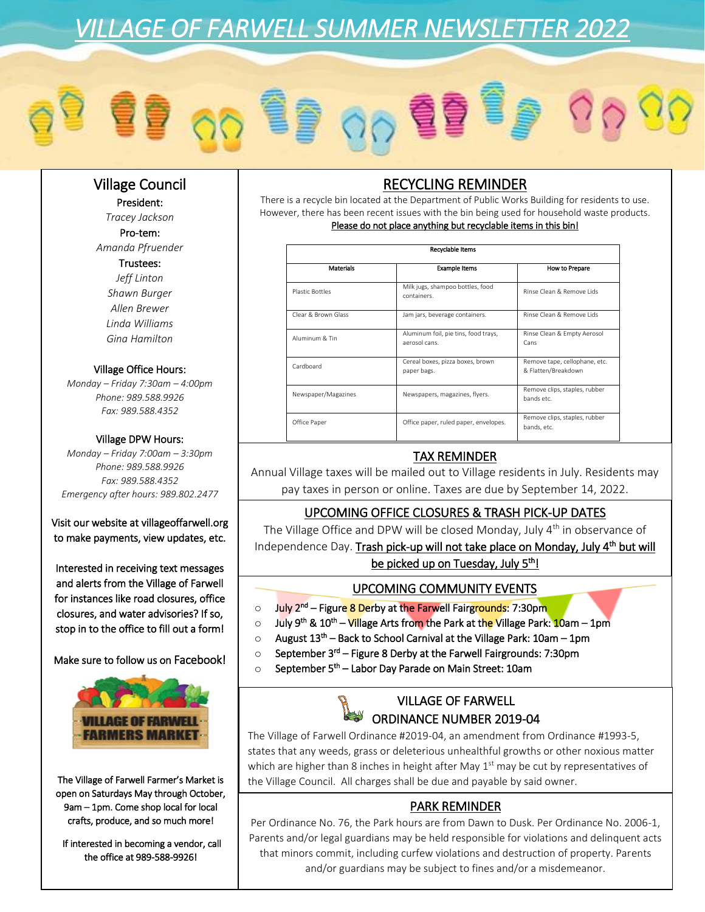# *VILLAGE OF FARWELL SUMMER NEWSLETTER 2022*

## Village Council

President: *Tracey Jackson* Pro-tem: *Amanda Pfruender* Trustees:

*Jeff Linton Shawn Burger Allen Brewer Linda Williams Gina Hamilton*

### Village Office Hours:

*Monday – Friday 7:30am – 4:00pm Phone: 989.588.9926 Fax: 989.588.4352*

#### Village DPW Hours:

*Monday – Friday 7:00am – 3:30pm Phone: 989.588.9926 Fax: 989.588.4352 Emergency after hours: 989.802.2477*

### Visit our website at villageoffarwell.org to make payments, view updates, etc.

Interested in receiving text messages and alerts from the Village of Farwell for instances like road closures, office closures, and water advisories? If so, stop in to the office to fill out a form!

Make sure to follow us on Facebook!



The Village of Farwell Farmer's Market is open on Saturdays May through October, 9am – 1pm. Come shop local for local crafts, produce, and so much more!

 If interested in becoming a vendor, call the office at 989-588-9926!

# RECYCLING REMINDER

There is a recycle bin located at the Department of Public Works Building for residents to use. However, there has been recent issues with the bin being used for household waste products. Please do not place anything but recyclable items in this bin!

| Recyclable Items    |                                                       |                                                      |
|---------------------|-------------------------------------------------------|------------------------------------------------------|
| Materials           | <b>Example Items</b>                                  | How to Prepare                                       |
| Plastic Bottles     | Milk jugs, shampoo bottles, food<br>containers        | Rinse Clean & Remove Lids                            |
| Clear & Brown Glass | Jam jars, beverage containers.                        | Rinse Clean & Remove Lids                            |
| Aluminum & Tin      | Aluminum foil, pie tins, food trays,<br>aerosol cans. | Rinse Clean & Empty Aerosol<br>Cans                  |
| Cardboard           | Cereal boxes, pizza boxes, brown<br>paper bags.       | Remove tape, cellophane, etc.<br>& Flatten/Breakdown |
| Newspaper/Magazines | Newspapers, magazines, flyers.                        | Remove clips, staples, rubber<br>bands etc.          |
| Office Paper        | Office paper, ruled paper, envelopes.                 | Remove clips, staples, rubber<br>bands, etc.         |

# TAX REMINDER

Annual Village taxes will be mailed out to Village residents in July. Residents may pay taxes in person or online. Taxes are due by September 14, 2022.

## UPCOMING OFFICE CLOSURES & TRASH PICK-UP DATES

The Village Office and DPW will be closed Monday, July 4<sup>th</sup> in observance of

Independence Day. Trash pick-up will not take place on Monday, July 4<sup>th</sup> but will

be picked up on Tuesday, July 5<sup>th</sup>!

## UPCOMING COMMUNITY EVENTS

- o July 2<sup>nd</sup> Figure 8 Derby at the Farwell Fairgrounds: 7:30pm
- July 9<sup>th</sup> & 10<sup>th</sup> <mark>Vil</mark>lage Arts from the Park at t<mark>he V</mark>illage Park: 10am 1pm
- $\circ$  August 13<sup>th</sup> Back to School Carnival at the Village Park: 10am 1pm
- September 3<sup>rd</sup> Figure 8 Derby at the Farwell Fairgrounds: 7:30pm
- $\circ$  September 5<sup>th</sup> Labor Day Parade on Main Street: 10am

## VILLAGE OF FARWELL ORDINANCE NUMBER 2019-04

The Village of Farwell Ordinance #2019-04, an amendment from Ordinance #1993-5, states that any weeds, grass or deleterious unhealthful growths or other noxious matter which are higher than 8 inches in height after May  $1<sup>st</sup>$  may be cut by representatives of the Village Council. All charges shall be due and payable by said owner.

# PARK REMINDER

Per Ordinance No. 76, the Park hours are from Dawn to Dusk. Per Ordinance No. 2006-1, Parents and/or legal guardians may be held responsible for violations and delinquent acts that minors commit, including curfew violations and destruction of property. Parents and/or guardians may be subject to fines and/or a misdemeanor.